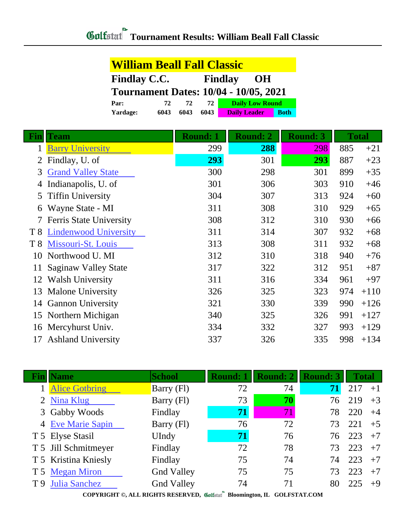| <b>William Beall Fall Classic</b>            |      |      |      |                        |             |  |
|----------------------------------------------|------|------|------|------------------------|-------------|--|
| <b>Findlay C.C.</b><br><b>Findlay</b><br>OH  |      |      |      |                        |             |  |
| <b>Tournament Dates: 10/04 - 10/05, 2021</b> |      |      |      |                        |             |  |
| 72<br>Par:<br>72                             |      |      | 72   | <b>Daily Low Round</b> |             |  |
| Yardage:                                     | 6043 | 6043 | 6043 | <b>Daily Leader</b>    | <b>Both</b> |  |

| Fin            | <b>Team</b>                  | <b>Round: 1</b> | <b>Round: 2</b> | <b>Round: 3</b> |     | <b>Total</b> |
|----------------|------------------------------|-----------------|-----------------|-----------------|-----|--------------|
|                | <b>Barry University</b>      | 299             | 288             | 298             | 885 | $+21$        |
|                | Findlay, U. of               | 293             | 301             | 293             | 887 | $+23$        |
| 3              | <b>Grand Valley State</b>    | 300             | 298             | 301             | 899 | $+35$        |
|                | Indianapolis, U. of          | 301             | 306             | 303             | 910 | $+46$        |
| 5              | <b>Tiffin University</b>     | 304             | 307             | 313             | 924 | $+60$        |
| 6              | Wayne State - MI             | 311             | 308             | 310             | 929 | $+65$        |
|                | Ferris State University      | 308             | 312             | 310             | 930 | $+66$        |
| T <sup>8</sup> | <b>Lindenwood University</b> | 311             | 314             | 307             | 932 | $+68$        |
| T8             | Missouri-St. Louis           | 313             | 308             | 311             | 932 | $+68$        |
| 10             | Northwood U. MI              | 312             | 310             | 318             | 940 | $+76$        |
| 11             | Saginaw Valley State         | 317             | 322             | 312             | 951 | $+87$        |
| 12             | <b>Walsh University</b>      | 311             | 316             | 334             | 961 | $+97$        |
| 13             | <b>Malone University</b>     | 326             | 325             | 323             | 974 | $+110$       |
| 14             | <b>Gannon University</b>     | 321             | 330             | 339             | 990 | $+126$       |
| 15             | Northern Michigan            | 340             | 325             | 326             | 991 | $+127$       |
| 16             | Mercyhurst Univ.             | 334             | 332             | 327             | 993 | $+129$       |
| 17             | <b>Ashland University</b>    | 337             | 326             | 335             | 998 | $+134$       |

| Name                 | <b>School</b>     | <b>Round: 1</b> | <b>Round: 2</b> | <b>Round: 3</b> | <b>Total</b> |      |
|----------------------|-------------------|-----------------|-----------------|-----------------|--------------|------|
| 1 Alice Gotbring     | Barry (Fl)        | 72              | 74              | 71              | 217          | $+1$ |
| 2 Nina Klug          | Barry (Fl)        | 73              | 70              | 76              | 219          | $+3$ |
| 3 Gabby Woods        | Findlay           | 71              | 71              | 78              | 220          | $+4$ |
| 4 Eve Marie Sapin    | Barry (Fl)        | 76              | 72              | 73              | 221          | $+5$ |
| T 5 Elyse Stasil     | UIndy             | 71              | 76              | 76              | 223          | $+7$ |
| T 5 Jill Schmitmeyer | Findlay           | 72              | 78              | 73              | 223          | $+7$ |
| T 5 Kristina Kniesly | Findlay           | 75              | 74              | 74              | 223          | $+7$ |
| T 5 Megan Miron      | <b>Gnd Valley</b> | 75              | 75              | 73              | 223          | $+7$ |
| T 9 Julia Sanchez    | <b>Gnd Valley</b> | 74              | 71              | 80              | 225          | $+9$ |

**COPYRIGHT ©, ALL RIGHTS RESERVED, Bloomington, IL GOLFSTAT.COM**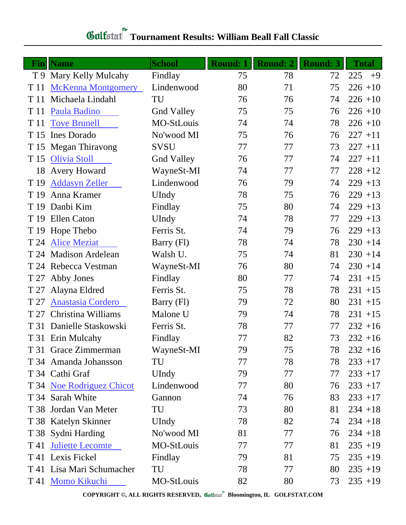## **Tournament Results: William Beall Fall Classic**

| Fin  | <b>Name</b>               | <b>School</b>     | <b>Round: 1</b> | <b>Round: 2</b> | <b>Round: 3</b> | <b>Total</b> |
|------|---------------------------|-------------------|-----------------|-----------------|-----------------|--------------|
|      | T 9 Mary Kelly Mulcahy    | Findlay           | 75              | 78              | 72              | 225<br>$+9$  |
| T 11 | <b>McKenna Montgomery</b> | Lindenwood        | 80              | 71              | 75              | $226 + 10$   |
| T 11 | Michaela Lindahl          | TU                | 76              | 76              | 74              | $226 + 10$   |
| T 11 | Paula Badino              | <b>Gnd Valley</b> | 75              | 75              | 76              | $226 + 10$   |
| T 11 | <b>Tove Brunell</b>       | MO-StLouis        | 74              | 74              | 78              | $226 + 10$   |
| T 15 | <b>Ines Dorado</b>        | No'wood MI        | 75              | 76              | 76              | $227 + 11$   |
|      | T 15 Megan Thiravong      | <b>SVSU</b>       | 77              | 77              | 73              | $227 + 11$   |
| T 15 | <b>Olivia Stoll</b>       | <b>Gnd Valley</b> | 76              | 77              | 74              | $227 + 11$   |
| 18   | <b>Avery Howard</b>       | WayneSt-MI        | 74              | 77              | 77              | $228 + 12$   |
| T 19 | <b>Addasyn Zeller</b>     | Lindenwood        | 76              | 79              | 74              | $229 + 13$   |
| T 19 | Anna Kramer               | UIndy             | 78              | 75              | 76              | $229 + 13$   |
| T 19 | Danbi Kim                 | Findlay           | 75              | 80              | 74              | $229 + 13$   |
|      | T 19 Ellen Caton          | UIndy             | 74              | 78              | 77              | $229 + 13$   |
|      | T 19 Hope Thebo           | Ferris St.        | 74              | 79              | 76              | $229 + 13$   |
| T 24 | <b>Alice Meziat</b>       | Barry (Fl)        | 78              | 74              | 78              | $230 + 14$   |
| T 24 | <b>Madison Ardelean</b>   | Walsh U.          | 75              | 74              | 81              | $230 + 14$   |
|      | T 24 Rebecca Vestman      | WayneSt-MI        | 76              | 80              | 74              | $230 + 14$   |
| T 27 | Abby Jones                | Findlay           | 80              | 77              | 74              | $231 + 15$   |
| T 27 | Alayna Eldred             | Ferris St.        | 75              | 78              | 78              | $231 + 15$   |
| T 27 | Anastasia Cordero         | Barry (Fl)        | 79              | 72              | 80              | $231 + 15$   |
| T 27 | Christina Williams        | Malone U          | 79              | 74              | 78              | $231 + 15$   |
| T 31 | Danielle Staskowski       | Ferris St.        | 78              | 77              | 77              | $232 + 16$   |
|      | T 31 Erin Mulcahy         | Findlay           | 77              | 82              | 73              | $232 + 16$   |
|      | T 31 Grace Zimmerman      | WayneSt-MI        | 79              | 75              | 78              | $232 + 16$   |
|      | T 34 Amanda Johansson     | TU                | 77              | 78              | 78              | $233 + 17$   |
|      | T 34 Cathi Graf           | UIndy             | 79              | 77              | 77              | $233 + 17$   |
|      | T 34 Noe Rodriguez Chicot | Lindenwood        | 77              | 80              | 76              | $233 + 17$   |
|      | T 34 Sarah White          | Gannon            | 74              | 76              | 83              | $233 + 17$   |
|      | T 38 Jordan Van Meter     | TU                | 73              | 80              | 81              | $234 + 18$   |
|      | T 38 Katelyn Skinner      | UIndy             | 78              | 82              | 74              | $234 + 18$   |
|      | T 38 Sydni Harding        | No'wood MI        | 81              | 77              | 76              | $234 + 18$   |
| T 41 | <b>Juliette Lecomte</b>   | MO-StLouis        | 77              | 77              | 81              | $235 + 19$   |
|      | T 41 Lexis Fickel         | Findlay           | 79              | 81              | 75              | $235 + 19$   |
|      | T 41 Lisa Mari Schumacher | TU                | 78              | 77              | 80              | $235 + 19$   |
|      | T 41 Momo Kikuchi         | MO-StLouis        | 82              | 80              | 73              | $235 + 19$   |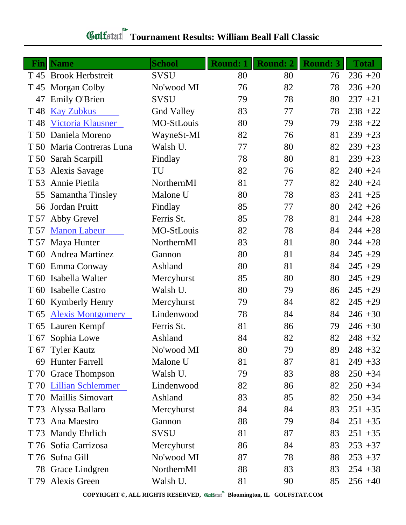## **Tournament Results: William Beall Fall Classic**

|                 | <b>Fin</b> Name           | <b>School</b>     | <b>Round: 1</b> | <b>Round: 2</b> | <b>Round: 3</b> | <b>Total</b> |
|-----------------|---------------------------|-------------------|-----------------|-----------------|-----------------|--------------|
|                 | T 45 Brook Herbstreit     | <b>SVSU</b>       | 80              | 80              | 76              | $236 + 20$   |
|                 | T 45 Morgan Colby         | No'wood MI        | 76              | 82              | 78              | $236 + 20$   |
| 47              | <b>Emily O'Brien</b>      | <b>SVSU</b>       | 79              | 78              | 80              | $237 + 21$   |
| T <sub>48</sub> | <b>Kay Zubkus</b>         | <b>Gnd Valley</b> | 83              | 77              | 78              | $238 + 22$   |
| T <sub>48</sub> | Victoria Klausner         | MO-StLouis        | 80              | 79              | 79              | $238 + 22$   |
| T 50            | Daniela Moreno            | WayneSt-MI        | 82              | 76              | 81              | $239 + 23$   |
|                 | T 50 Maria Contreras Luna | Walsh U.          | 77              | 80              | 82              | $239 + 23$   |
|                 | T 50 Sarah Scarpill       | Findlay           | 78              | 80              | 81              | $239 + 23$   |
| T 53            | <b>Alexis Savage</b>      | TU                | 82              | 76              | 82              | $240 + 24$   |
| T 53            | Annie Pietila             | NorthernMI        | 81              | 77              | 82              | $240 + 24$   |
| 55              | Samantha Tinsley          | Malone U          | 80              | 78              | 83              | $241 + 25$   |
| 56              | Jordan Pruitt             | Findlay           | 85              | 77              | 80              | $242 + 26$   |
| T 57            | Abby Grevel               | Ferris St.        | 85              | 78              | 81              | $244 + 28$   |
| T 57            | <b>Manon Labeur</b>       | MO-StLouis        | 82              | 78              | 84              | $244 + 28$   |
| T 57            | Maya Hunter               | NorthernMI        | 83              | 81              | 80              | $244 + 28$   |
| T 60            | Andrea Martinez           | Gannon            | 80              | 81              | 84              | $245 + 29$   |
| T 60            | Emma Conway               | Ashland           | 80              | 81              | 84              | $245 + 29$   |
| T 60            | Isabella Walter           | Mercyhurst        | 85              | 80              | 80              | $245 + 29$   |
| T 60            | <b>Isabelle Castro</b>    | Walsh U.          | 80              | 79              | 86              | $245 + 29$   |
|                 | T 60 Kymberly Henry       | Mercyhurst        | 79              | 84              | 82              | $245 + 29$   |
| T 65            | <b>Alexis Montgomery</b>  | Lindenwood        | 78              | 84              | 84              | $246 + 30$   |
|                 | T 65 Lauren Kempf         | Ferris St.        | 81              | 86              | 79              | $246 + 30$   |
| T 67            | Sophia Lowe               | Ashland           | 84              | 82              | 82              | $248 + 32$   |
|                 | T 67 Tyler Kautz          | No'wood MI        | 80              | 79              | 89              | $248 + 32$   |
|                 | 69 Hunter Farrell         | Malone U          | 81              | 87              | 81              | $249 + 33$   |
|                 | T 70 Grace Thompson       | Walsh U.          | 79              | 83              | 88              | $250 + 34$   |
|                 | T 70 Lillian Schlemmer    | Lindenwood        | 82              | 86              | 82              | $250 + 34$   |
|                 | T 70 Maillis Simovart     | Ashland           | 83              | 85              | 82              | $250 + 34$   |
| T 73            | Alyssa Ballaro            | Mercyhurst        | 84              | 84              | 83              | $251 + 35$   |
| T 73            | Ana Maestro               | Gannon            | 88              | 79              | 84              | $251 + 35$   |
| T 73            | <b>Mandy Ehrlich</b>      | <b>SVSU</b>       | 81              | 87              | 83              | $251 + 35$   |
|                 | T 76 Sofia Carrizosa      | Mercyhurst        | 86              | 84              | 83              | $253 + 37$   |
|                 | T 76 Sufna Gill           | No'wood MI        | 87              | 78              | 88              | $253 + 37$   |
| 78              | Grace Lindgren            | NorthernMI        | 88              | 83              | 83              | $254 + 38$   |
| T 79            | Alexis Green              | Walsh U.          | 81              | 90              | 85              | $256 + 40$   |